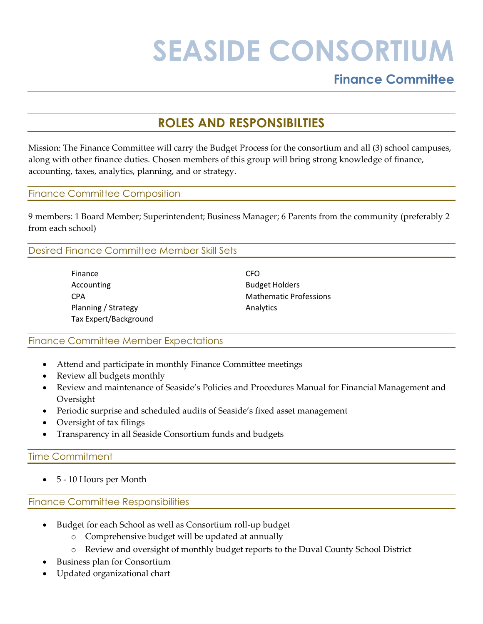# **SEASIDE CONSORTIUM**

## **Finance Committee**

## **ROLES AND RESPONSIBILTIES**

Mission: The Finance Committee will carry the Budget Process for the consortium and all (3) school campuses, along with other finance duties. Chosen members of this group will bring strong knowledge of finance, accounting, taxes, analytics, planning, and or strategy.

#### Finance Committee Composition

9 members: 1 Board Member; Superintendent; Business Manager; 6 Parents from the community (preferably 2 from each school)

### Desired Finance Committee Member Skill Sets

Finance **CFO** Accounting **Budget Holders** Planning / Strategy Analytics Tax Expert/Background

CPA Mathematic Professions

### Finance Committee Member Expectations

- Attend and participate in monthly Finance Committee meetings
- Review all budgets monthly
- Review and maintenance of Seaside's Policies and Procedures Manual for Financial Management and Oversight
- Periodic surprise and scheduled audits of Seaside's fixed asset management
- Oversight of tax filings
- Transparency in all Seaside Consortium funds and budgets

### Time Commitment

• 5 - 10 Hours per Month

### Finance Committee Responsibilities

- Budget for each School as well as Consortium roll-up budget
	- o Comprehensive budget will be updated at annually
	- o Review and oversight of monthly budget reports to the Duval County School District
- Business plan for Consortium
- Updated organizational chart